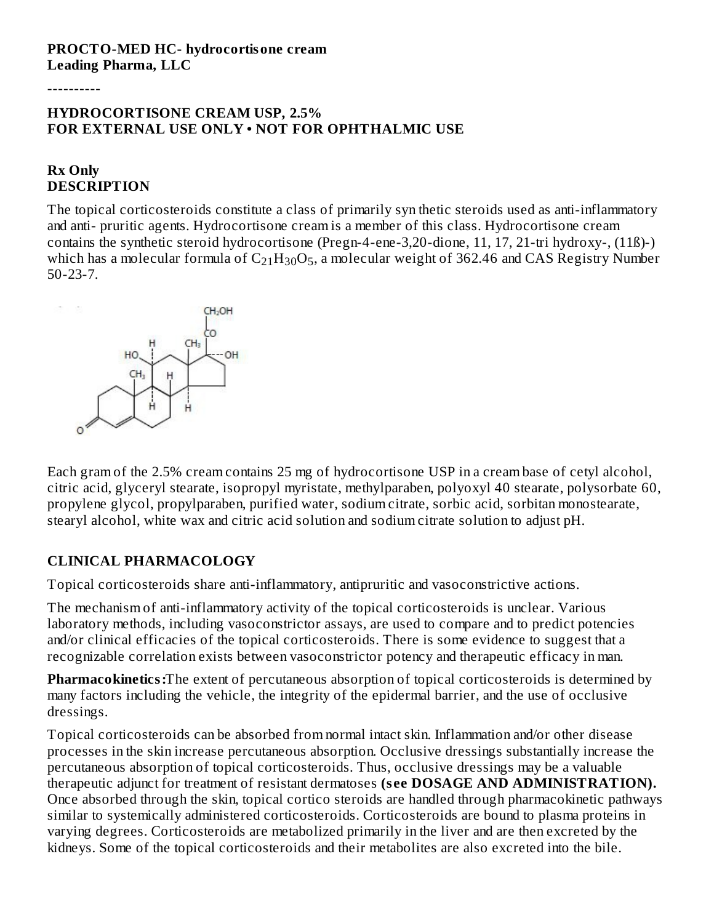#### **PROCTO-MED HC- hydrocortisone cream Leading Pharma, LLC**

----------

#### **HYDROCORTISONE CREAM USP, 2.5% FOR EXTERNAL USE ONLY • NOT FOR OPHTHALMIC USE**

#### **Rx Only DESCRIPTION**

The topical corticosteroids constitute a class of primarily syn thetic steroids used as anti-inflammatory and anti- pruritic agents. Hydrocortisone cream is a member of this class. Hydrocortisone cream contains the synthetic steroid hydrocortisone (Pregn-4-ene-3,20-dione, 11, 17, 21-tri hydroxy-, (11ß)-) which has a molecular formula of  $\rm C_{21}H_{30}O_5$ , a molecular weight of 362.46 and CAS Registry Number 50-23-7.



Each gram of the 2.5% cream contains 25 mg of hydrocortisone USP in a cream base of cetyl alcohol, citric acid, glyceryl stearate, isopropyl myristate, methylparaben, polyoxyl 40 stearate, polysorbate 60, propylene glycol, propylparaben, purified water, sodium citrate, sorbic acid, sorbitan monostearate, stearyl alcohol, white wax and citric acid solution and sodium citrate solution to adjust pH.

## **CLINICAL PHARMACOLOGY**

Topical corticosteroids share anti-inflammatory, antipruritic and vasoconstrictive actions.

The mechanism of anti-inflammatory activity of the topical corticosteroids is unclear. Various laboratory methods, including vasoconstrictor assays, are used to compare and to predict potencies and/or clinical efficacies of the topical corticosteroids. There is some evidence to suggest that a recognizable correlation exists between vasoconstrictor potency and therapeutic efficacy in man.

**Pharmacokinetics:**The extent of percutaneous absorption of topical corticosteroids is determined by many factors including the vehicle, the integrity of the epidermal barrier, and the use of occlusive dressings.

Topical corticosteroids can be absorbed from normal intact skin. Inflammation and/or other disease processes in the skin increase percutaneous absorption. Occlusive dressings substantially increase the percutaneous absorption of topical corticosteroids. Thus, occlusive dressings may be a valuable therapeutic adjunct for treatment of resistant dermatoses **(s ee DOSAGE AND ADMINISTRATION).** Once absorbed through the skin, topical cortico steroids are handled through pharmacokinetic pathways similar to systemically administered corticosteroids. Corticosteroids are bound to plasma proteins in varying degrees. Corticosteroids are metabolized primarily in the liver and are then excreted by the kidneys. Some of the topical corticosteroids and their metabolites are also excreted into the bile.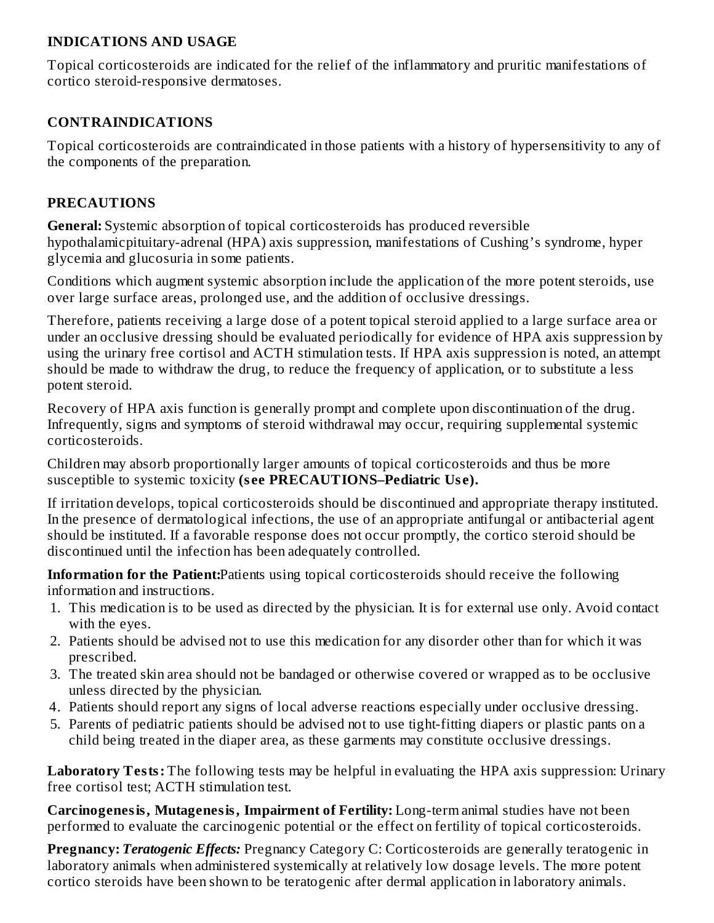## **INDICATIONS AND USAGE**

Topical corticosteroids are indicated for the relief of the inflammatory and pruritic manifestations of cortico steroid-responsive dermatoses.

# **CONTRAINDICATIONS**

Topical corticosteroids are contraindicated in those patients with a history of hypersensitivity to any of the components of the preparation.

## **PRECAUTIONS**

**General:** Systemic absorption of topical corticosteroids has produced reversible hypothalamicpituitary-adrenal (HPA) axis suppression, manifestations of Cushing's syndrome, hyper glycemia and glucosuria in some patients.

Conditions which augment systemic absorption include the application of the more potent steroids, use over large surface areas, prolonged use, and the addition of occlusive dressings.

Therefore, patients receiving a large dose of a potent topical steroid applied to a large surface area or under an occlusive dressing should be evaluated periodically for evidence of HPA axis suppression by using the urinary free cortisol and ACTH stimulation tests. If HPA axis suppression is noted, an attempt should be made to withdraw the drug, to reduce the frequency of application, or to substitute a less potent steroid.

Recovery of HPA axis function is generally prompt and complete upon discontinuation of the drug. Infrequently, signs and symptoms of steroid withdrawal may occur, requiring supplemental systemic corticosteroids.

Children may absorb proportionally larger amounts of topical corticosteroids and thus be more susceptible to systemic toxicity **(s ee PRECAUTIONS–Pediatric Us e).**

If irritation develops, topical corticosteroids should be discontinued and appropriate therapy instituted. In the presence of dermatological infections, the use of an appropriate antifungal or antibacterial agent should be instituted. If a favorable response does not occur promptly, the cortico steroid should be discontinued until the infection has been adequately controlled.

**Information for the Patient:**Patients using topical corticosteroids should receive the following information and instructions.

- 1. This medication is to be used as directed by the physician. It is for external use only. Avoid contact with the eyes.
- 2. Patients should be advised not to use this medication for any disorder other than for which it was prescribed.
- 3. The treated skin area should not be bandaged or otherwise covered or wrapped as to be occlusive unless directed by the physician.
- 4. Patients should report any signs of local adverse reactions especially under occlusive dressing.
- 5. Parents of pediatric patients should be advised not to use tight-fitting diapers or plastic pants on a child being treated in the diaper area, as these garments may constitute occlusive dressings.

**Laboratory Tests:** The following tests may be helpful in evaluating the HPA axis suppression: Urinary free cortisol test; ACTH stimulation test.

**Carcinogenesis, Mutagenesis, Impairment of Fertility:** Long-term animal studies have not been performed to evaluate the carcinogenic potential or the effect on fertility of topical corticosteroids.

**Pregnancy:** *Teratogenic Effects:* Pregnancy Category C: Corticosteroids are generally teratogenic in laboratory animals when administered systemically at relatively low dosage levels. The more potent cortico steroids have been shown to be teratogenic after dermal application in laboratory animals.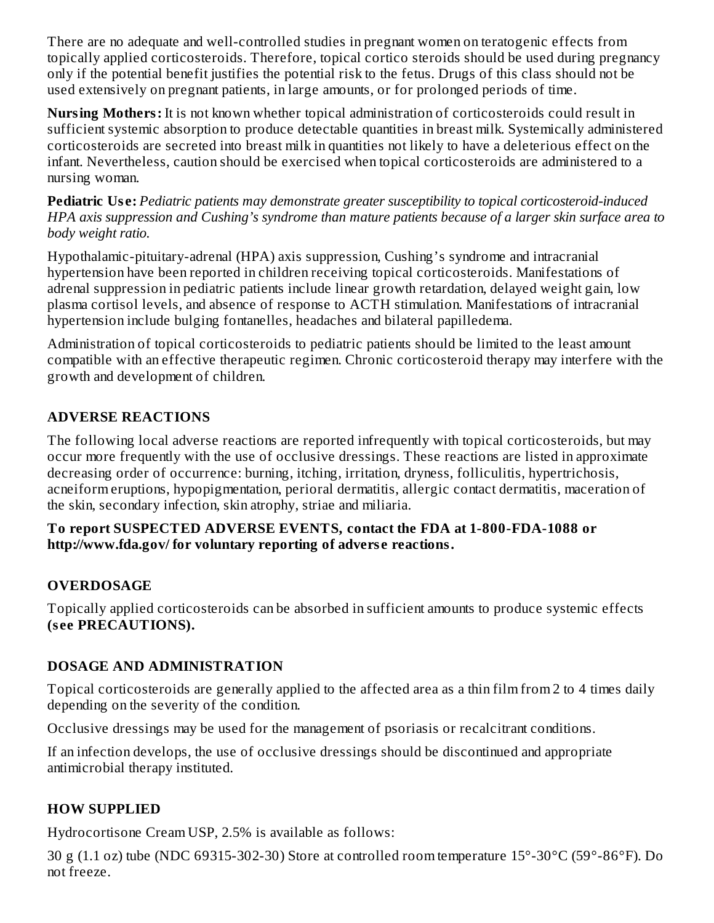There are no adequate and well-controlled studies in pregnant women on teratogenic effects from topically applied corticosteroids. Therefore, topical cortico steroids should be used during pregnancy only if the potential benefit justifies the potential risk to the fetus. Drugs of this class should not be used extensively on pregnant patients, in large amounts, or for prolonged periods of time.

**Nursing Mothers:** It is not known whether topical administration of corticosteroids could result in sufficient systemic absorption to produce detectable quantities in breast milk. Systemically administered corticosteroids are secreted into breast milk in quantities not likely to have a deleterious effect on the infant. Nevertheless, caution should be exercised when topical corticosteroids are administered to a nursing woman.

**Pediatric Us e:** *Pediatric patients may demonstrate greater susceptibility to topical corticosteroid-induced HPA axis suppression and Cushing's syndrome than mature patients because of a larger skin surface area to body weight ratio.*

Hypothalamic-pituitary-adrenal (HPA) axis suppression, Cushing's syndrome and intracranial hypertension have been reported in children receiving topical corticosteroids. Manifestations of adrenal suppression in pediatric patients include linear growth retardation, delayed weight gain, low plasma cortisol levels, and absence of response to ACTH stimulation. Manifestations of intracranial hypertension include bulging fontanelles, headaches and bilateral papilledema.

Administration of topical corticosteroids to pediatric patients should be limited to the least amount compatible with an effective therapeutic regimen. Chronic corticosteroid therapy may interfere with the growth and development of children.

# **ADVERSE REACTIONS**

The following local adverse reactions are reported infrequently with topical corticosteroids, but may occur more frequently with the use of occlusive dressings. These reactions are listed in approximate decreasing order of occurrence: burning, itching, irritation, dryness, folliculitis, hypertrichosis, acneiform eruptions, hypopigmentation, perioral dermatitis, allergic contact dermatitis, maceration of the skin, secondary infection, skin atrophy, striae and miliaria.

**To report SUSPECTED ADVERSE EVENTS, contact the FDA at 1-800-FDA-1088 or http://www.fda.gov/ for voluntary reporting of advers e reactions.**

## **OVERDOSAGE**

Topically applied corticosteroids can be absorbed in sufficient amounts to produce systemic effects **(s ee PRECAUTIONS).**

## **DOSAGE AND ADMINISTRATION**

Topical corticosteroids are generally applied to the affected area as a thin film from 2 to 4 times daily depending on the severity of the condition.

Occlusive dressings may be used for the management of psoriasis or recalcitrant conditions.

If an infection develops, the use of occlusive dressings should be discontinued and appropriate antimicrobial therapy instituted.

## **HOW SUPPLIED**

Hydrocortisone Cream USP, 2.5% is available as follows:

30 g (1.1 oz) tube (NDC 69315-302-30) Store at controlled room temperature 15°-30°C (59°-86°F). Do not freeze.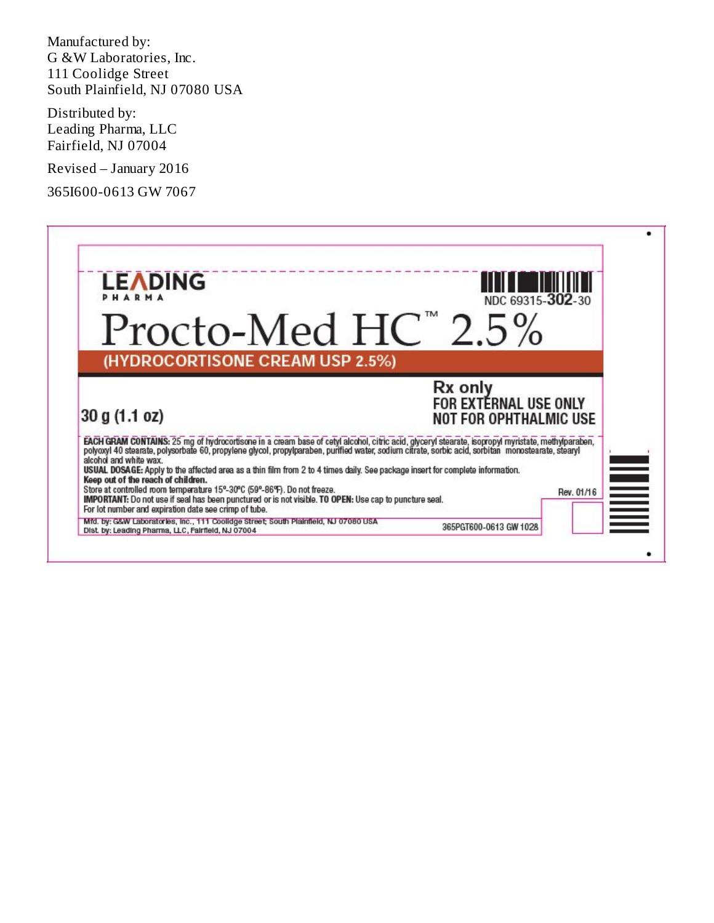Manufactured by: G &W Laboratories, Inc. 111 Coolidge Street South Plainfield, NJ 07080 USA

Distributed by: Leading Pharma, LLC Fairfield, NJ 07004

Revised – January 2016

365I600-0613 GW 7067

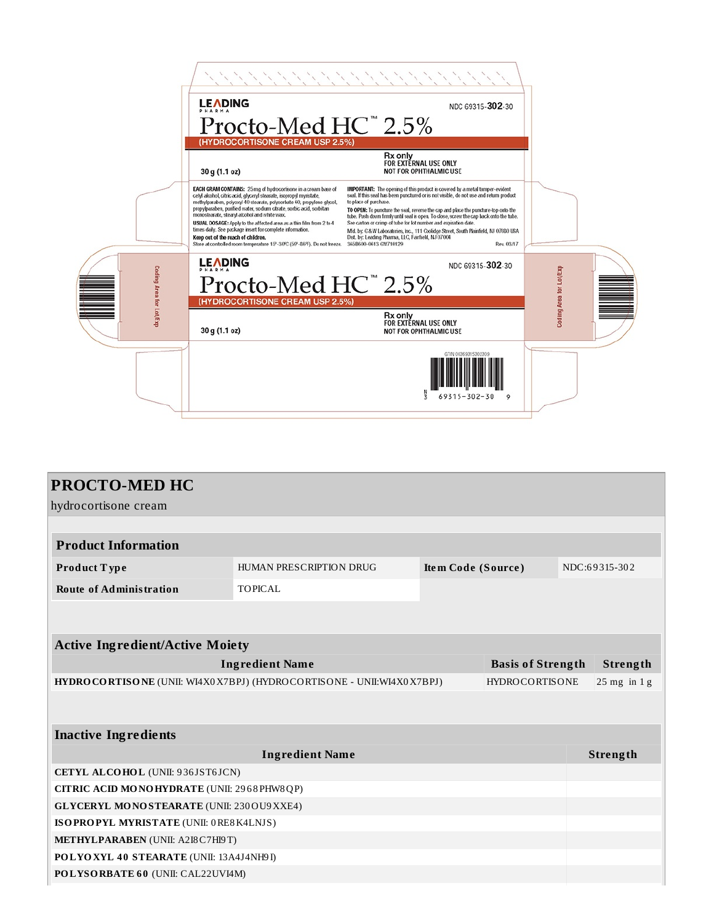|                         | <b>LEADING</b><br>PHARMA<br>Procto-Med HC <sup>™</sup> 2.5%                                                                                                                                                                                                                                                                                                                                                                                                                                                                                                                                                         | NDC 69315-302-30                                                                                                                                                                                                                                                                                                                                                                                                                                                                                                                                                                                              |                         |
|-------------------------|---------------------------------------------------------------------------------------------------------------------------------------------------------------------------------------------------------------------------------------------------------------------------------------------------------------------------------------------------------------------------------------------------------------------------------------------------------------------------------------------------------------------------------------------------------------------------------------------------------------------|---------------------------------------------------------------------------------------------------------------------------------------------------------------------------------------------------------------------------------------------------------------------------------------------------------------------------------------------------------------------------------------------------------------------------------------------------------------------------------------------------------------------------------------------------------------------------------------------------------------|-------------------------|
|                         | (HYDROCORTISONE CREAM USP 2.5%)<br>30 g (1.1 oz)                                                                                                                                                                                                                                                                                                                                                                                                                                                                                                                                                                    | Rx only<br>FOR EXTERNAL USE ONLY<br><b>NOT FOR OPHTHALMIC USE</b>                                                                                                                                                                                                                                                                                                                                                                                                                                                                                                                                             |                         |
|                         | EACH GRAM CONTAINS: 25 mg of hydrocortisone in a cream base of<br>cetyl alcohol, citric acid, glyceryl stearate, isopropyl myristate,<br>methylparaben, polyoxyl 40 stearate, polysorbate 60, propylene glycol,<br>propylparaben, purified water, sodium citrate, sorbic acid, sorbitan<br>monostearate, stearyl alcohol and white wax.<br>USUAL DOSAGE: Apply to the affected area as a thin film from 2 to 4<br>times daily. See package insert for complete information.<br>Keep out of the reach of children.<br>Store at controlled room temperature 15°-30°C (59°-86°F). Do not freeze. 365B600-0613 GW710129 | IMPORTANT: The opening of this product is covered by a metal tamper-evident<br>seal. If this seal has been punctured or is not visible, do not use and return product<br>to place of purchase.<br>TO OPEN: To puncture the seal, reverse the cap and place the puncture-top onto the<br>tube. Push down firmly until seal is open. To close, screw the cap back onto the tube.<br>See carton or crimp of tube for lot number and expiration date.<br>Mfd. by: G&W Laboratories, Inc., 111 Coolidge Street, South Plainfield, NJ 07080 USA<br>Dist. by: Leading Pharma, LLC, Fairfield, NJ 07004<br>Rev. 03/17 |                         |
| Coding Area for Lot/Exp | <b>LEADING</b><br>NDC 69315-302-30<br>Procto-Med HC <sup>™</sup> 2.5%<br>(HYDROCORTISONE CREAM USP 2.5%)                                                                                                                                                                                                                                                                                                                                                                                                                                                                                                            |                                                                                                                                                                                                                                                                                                                                                                                                                                                                                                                                                                                                               | Coding Area for Lot/Exp |
|                         | 30 g (1.1 oz)                                                                                                                                                                                                                                                                                                                                                                                                                                                                                                                                                                                                       | Rx only<br>FOR EXTERNAL USE ONLY<br><b>NOT FOR OPHTHALMIC USE</b>                                                                                                                                                                                                                                                                                                                                                                                                                                                                                                                                             |                         |
|                         |                                                                                                                                                                                                                                                                                                                                                                                                                                                                                                                                                                                                                     | 69315-302-30<br>$\overline{\mathbf{3}}$<br>$\circ$                                                                                                                                                                                                                                                                                                                                                                                                                                                                                                                                                            |                         |

| <b>PROCTO-MED HC</b>                                                                           |                         |                    |  |                  |               |
|------------------------------------------------------------------------------------------------|-------------------------|--------------------|--|------------------|---------------|
| hydrocortisone cream                                                                           |                         |                    |  |                  |               |
|                                                                                                |                         |                    |  |                  |               |
| <b>Product Information</b>                                                                     |                         |                    |  |                  |               |
| Product Type                                                                                   | HUMAN PRESCRIPTION DRUG | Item Code (Source) |  |                  | NDC:69315-302 |
| <b>Route of Administration</b>                                                                 | TOPICAL                 |                    |  |                  |               |
|                                                                                                |                         |                    |  |                  |               |
|                                                                                                |                         |                    |  |                  |               |
| <b>Active Ingredient/Active Moiety</b>                                                         |                         |                    |  |                  |               |
| <b>Ingredient Name</b><br><b>Basis of Strength</b>                                             |                         |                    |  | Strength         |               |
| HYDRO CORTISONE (UNII: WI4X0X7BPJ) (HYDROCORTISONE - UNII:WI4X0X7BPJ)<br><b>HYDROCORTISONE</b> |                         |                    |  | $25$ mg in $1$ g |               |
|                                                                                                |                         |                    |  |                  |               |
|                                                                                                |                         |                    |  |                  |               |
| <b>Inactive Ingredients</b>                                                                    |                         |                    |  |                  |               |
|                                                                                                | <b>Ingredient Name</b>  |                    |  |                  | Strength      |
| CETYL ALCOHOL (UNII: 936JST6JCN)                                                               |                         |                    |  |                  |               |
| CITRIC ACID MONOHYDRATE (UNII: 2968PHW8QP)                                                     |                         |                    |  |                  |               |
| <b>GLYCERYL MONOSTEARATE (UNII: 230 OU9 XXE4)</b>                                              |                         |                    |  |                  |               |
| ISOPROPYL MYRISTATE (UNII: 0 RE8 K4LNJS)                                                       |                         |                    |  |                  |               |
| METHYLPARABEN (UNII: A2I8C7H19T)                                                               |                         |                    |  |                  |               |
| POLYOXYL 40 STEARATE (UNII: 13A4J4NH9I)                                                        |                         |                    |  |                  |               |
| POLYSORBATE 60 (UNII: CAL22UVI4M)                                                              |                         |                    |  |                  |               |